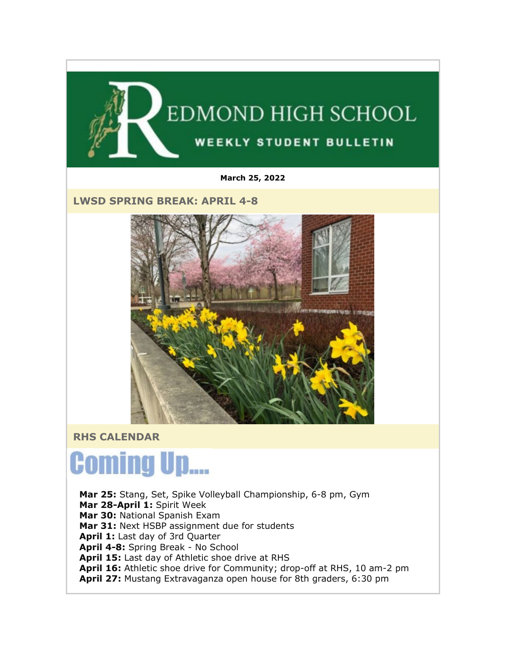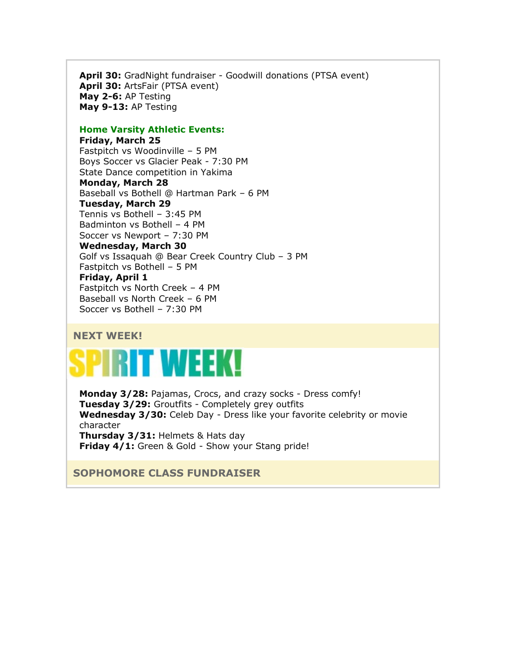**April 30:** GradNight fundraiser - Goodwill donations (PTSA event) **April 30:** ArtsFair (PTSA event) **May 2-6:** AP Testing **May 9-13:** AP Testing

#### **Home Varsity Athletic Events:**

**Friday, March 25** Fastpitch vs Woodinville – 5 PM Boys Soccer vs Glacier Peak - 7:30 PM State Dance competition in Yakima **Monday, March 28** Baseball vs Bothell @ Hartman Park – 6 PM **Tuesday, March 29** Tennis vs Bothell – 3:45 PM Badminton vs Bothell – 4 PM Soccer vs Newport – 7:30 PM **Wednesday, March 30** Golf vs Issaquah @ Bear Creek Country Club – 3 PM Fastpitch vs Bothell – 5 PM **Friday, April 1** Fastpitch vs North Creek – 4 PM Baseball vs North Creek – 6 PM Soccer vs Bothell – 7:30 PM

#### **NEXT WEEK!**

# **RIT WEEK**

**Monday 3/28:** Pajamas, Crocs, and crazy socks - Dress comfy! **Tuesday 3/29:** Groutfits - Completely grey outfits **Wednesday 3/30:** Celeb Day - Dress like your favorite celebrity or movie character **Thursday 3/31:** Helmets & Hats day **Friday 4/1:** Green & Gold - Show your Stang pride!

#### **SOPHOMORE CLASS FUNDRAISER**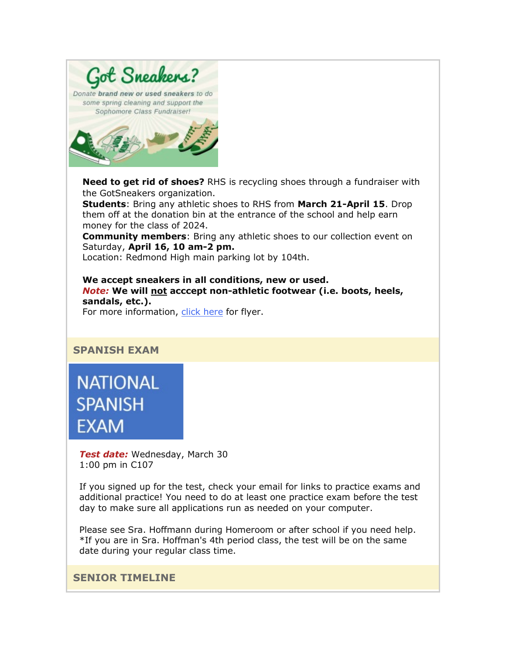

**Need to get rid of shoes?** RHS is recycling shoes through a fundraiser with the GotSneakers organization.

**Students**: Bring any athletic shoes to RHS from **March 21-April 15**. Drop them off at the donation bin at the entrance of the school and help earn money for the class of 2024.

**Community members**: Bring any athletic shoes to our collection event on Saturday, **April 16, 10 am-2 pm.**

Location: Redmond High main parking lot by 104th.

**We accept sneakers in all conditions, new or used.** *Note:* **We will not acccept non-athletic footwear (i.e. boots, heels, sandals, etc.).** For more information, [click here](https://nam02.safelinks.protection.outlook.com/?url=http%3A%2F%2Flink.email.dynect.net%2Flink.php%3FDynEngagement%3Dtrue%26H%3DOOqfIEhTnDS349ke6cpwQyJJsnz1EIHT%252FaVku0ZQcaF2SFWFVk3NNW39KTE%252FMjezRaBEw4bA1VC7lA5wlEJw6GiECTp70BcYWHvBYfSuZKAbYmPKQAbZbQ%253D%253D%26G%3D0%26R%3Dhttps%253A%252F%252FUQFAGYZTANA.hatchbuck.com%252FTrackLinkClick%253FID2%253DbhMGT3LOBHb8bSi4aVu-swdTi7DYDKlZnAWFbLKHo19PZMOAabPHJ8ReqWmS-MoA0%26I%3D20220325213814.0000010a3420%2540smtp-ad3-48-phx%26X%3DMHwxMjY0OTIyOjI1NDE0MzE1Nzk7MXwxMjY0OTIzOjIwMDQxOTc1NDs%253D%26V%3D3%26S%3DS_78Vn7rSmyQHYDOCpl0_FsN_rxhy0uN9IflD50otdg&data=04%7C01%7Cmwood%40lwsd.org%7Cb6d924c17a80466f267408da0ea7df35%7C1fd4673fdf9646218638a1d88c4c85d7%7C0%7C0%7C637838411422603352%7CUnknown%7CTWFpbGZsb3d8eyJWIjoiMC4wLjAwMDAiLCJQIjoiV2luMzIiLCJBTiI6Ik1haWwiLCJXVCI6Mn0%3D%7C3000&sdata=c57Y6%2BJd0kqKIbM3wUAjRZn0CUCXtCxQX7SXjb43w20%3D&reserved=0) for flyer.

**NATIONAL SPANISH EXAM** 

**SPANISH EXAM**

*Test date:* Wednesday, March 30 1:00 pm in C107

If you signed up for the test, check your email for links to practice exams and additional practice! You need to do at least one practice exam before the test day to make sure all applications run as needed on your computer.

Please see Sra. Hoffmann during Homeroom or after school if you need help. \*If you are in Sra. Hoffman's 4th period class, the test will be on the same date during your regular class time.

**SENIOR TIMELINE**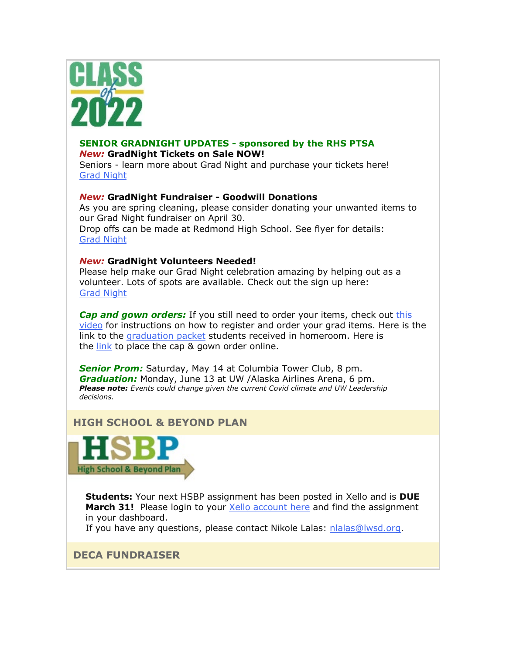

#### **SENIOR GRADNIGHT UPDATES - sponsored by the RHS PTSA** *New:* **GradNight Tickets on Sale NOW!**

Seniors - learn more about Grad Night and purchase your tickets here! [Grad Night](https://nam02.safelinks.protection.outlook.com/?url=http%3A%2F%2Flink.email.dynect.net%2Flink.php%3FDynEngagement%3Dtrue%26H%3DOOqfIEhTnDS349ke6cpwQyJJsnz1EIHT%252FaVku0ZQcaF2SFWFVk3NNW39KTE%252FMjezRaBEw4bA1VC7lA5wlEJw6GiECTp70BcYWHvBYfSuZKAbYmPKQAbZbQ%253D%253D%26G%3D0%26R%3Dhttps%253A%252F%252FUQFAGYZTANA.hatchbuck.com%252FTrackLinkClick%253FID2%253Dnyjrjs3h0i36gNdKmgv3Hq4tudXLNQA7AmuBEWMakmTcIVPYcsW3EYKShGUuuud50%26I%3D20220325213814.0000010a3420%2540smtp-ad3-48-phx%26X%3DMHwxMjY0OTIyOjI1NDE0MzE1Nzk7MXwxMjY0OTIzOjIwMDQxOTc1NDs%253D%26V%3D3%26S%3D3y7b3Tn952d1w1oJpm-CsqPU2XYgj0_Hlsq_ty-sKnw&data=04%7C01%7Cmwood%40lwsd.org%7Cb6d924c17a80466f267408da0ea7df35%7C1fd4673fdf9646218638a1d88c4c85d7%7C0%7C0%7C637838411422603352%7CUnknown%7CTWFpbGZsb3d8eyJWIjoiMC4wLjAwMDAiLCJQIjoiV2luMzIiLCJBTiI6Ik1haWwiLCJXVCI6Mn0%3D%7C3000&sdata=o7ksyKu1A6oURZ9brNlAqGzE9T8EK3YsOeuy4N7VS%2Bk%3D&reserved=0)

#### *New:* **GradNight Fundraiser - Goodwill Donations**

As you are spring cleaning, please consider donating your unwanted items to our Grad Night fundraiser on April 30. Drop offs can be made at Redmond High School. See flyer for details: [Grad Night](https://nam02.safelinks.protection.outlook.com/?url=http%3A%2F%2Flink.email.dynect.net%2Flink.php%3FDynEngagement%3Dtrue%26H%3DOOqfIEhTnDS349ke6cpwQyJJsnz1EIHT%252FaVku0ZQcaF2SFWFVk3NNW39KTE%252FMjezRaBEw4bA1VC7lA5wlEJw6GiECTp70BcYWHvBYfSuZKAbYmPKQAbZbQ%253D%253D%26G%3D0%26R%3Dhttps%253A%252F%252FUQFAGYZTANA.hatchbuck.com%252FTrackLinkClick%253FID2%253Dnyjrjs3h0i36gNdKmgv3Hq4tudXLNQA7AmuBEWMakmTcIVPYcsW3EYKShGUuuud50%26I%3D20220325213814.0000010a3420%2540smtp-ad3-48-phx%26X%3DMHwxMjY0OTIyOjI1NDE0MzE1Nzk7MXwxMjY0OTIzOjIwMDQxOTc1NDs%253D%26V%3D3%26S%3D3y7b3Tn952d1w1oJpm-CsqPU2XYgj0_Hlsq_ty-sKnw&data=04%7C01%7Cmwood%40lwsd.org%7Cb6d924c17a80466f267408da0ea7df35%7C1fd4673fdf9646218638a1d88c4c85d7%7C0%7C0%7C637838411422603352%7CUnknown%7CTWFpbGZsb3d8eyJWIjoiMC4wLjAwMDAiLCJQIjoiV2luMzIiLCJBTiI6Ik1haWwiLCJXVCI6Mn0%3D%7C3000&sdata=o7ksyKu1A6oURZ9brNlAqGzE9T8EK3YsOeuy4N7VS%2Bk%3D&reserved=0)

#### *New:* **GradNight Volunteers Needed!**

Please help make our Grad Night celebration amazing by helping out as a volunteer. Lots of spots are available. Check out the sign up here: [Grad Night](https://nam02.safelinks.protection.outlook.com/?url=http%3A%2F%2Flink.email.dynect.net%2Flink.php%3FDynEngagement%3Dtrue%26H%3DOOqfIEhTnDS349ke6cpwQyJJsnz1EIHT%252FaVku0ZQcaF2SFWFVk3NNW39KTE%252FMjezRaBEw4bA1VC7lA5wlEJw6GiECTp70BcYWHvBYfSuZKAbYmPKQAbZbQ%253D%253D%26G%3D0%26R%3Dhttps%253A%252F%252FUQFAGYZTANA.hatchbuck.com%252FTrackLinkClick%253FID2%253Dnyjrjs3h0i36gNdKmgv3Hq4tudXLNQA7AmuBEWMakmTcIVPYcsW3EYKShGUuuud50%26I%3D20220325213814.0000010a3420%2540smtp-ad3-48-phx%26X%3DMHwxMjY0OTIyOjI1NDE0MzE1Nzk7MXwxMjY0OTIzOjIwMDQxOTc1NDs%253D%26V%3D3%26S%3D3y7b3Tn952d1w1oJpm-CsqPU2XYgj0_Hlsq_ty-sKnw&data=04%7C01%7Cmwood%40lwsd.org%7Cb6d924c17a80466f267408da0ea7df35%7C1fd4673fdf9646218638a1d88c4c85d7%7C0%7C0%7C637838411422603352%7CUnknown%7CTWFpbGZsb3d8eyJWIjoiMC4wLjAwMDAiLCJQIjoiV2luMzIiLCJBTiI6Ik1haWwiLCJXVCI6Mn0%3D%7C3000&sdata=o7ksyKu1A6oURZ9brNlAqGzE9T8EK3YsOeuy4N7VS%2Bk%3D&reserved=0)

*Cap and gown orders:* If you still need to order your items, check out [this](https://nam02.safelinks.protection.outlook.com/?url=http%3A%2F%2Flink.email.dynect.net%2Flink.php%3FDynEngagement%3Dtrue%26H%3DOOqfIEhTnDS349ke6cpwQyJJsnz1EIHT%252FaVku0ZQcaF2SFWFVk3NNW39KTE%252FMjezRaBEw4bA1VC7lA5wlEJw6GiECTp70BcYWHvBYfSuZKAbYmPKQAbZbQ%253D%253D%26G%3D0%26R%3Dhttps%253A%252F%252FUQFAGYZTANA.hatchbuck.com%252FTrackLinkClick%253FID2%253D7T8vOH9QF_h37LSxz3BAjiA_TzQJ-TDErlJQDNwBQv5tvIHLJKNMDN32RJe976L10%26I%3D20220325213814.0000010a3420%2540smtp-ad3-48-phx%26X%3DMHwxMjY0OTIyOjI1NDE0MzE1Nzk7MXwxMjY0OTIzOjIwMDQxOTc1NDs%253D%26V%3D3%26S%3D6qMN1Yx7kYvSk2A3luHc-40Ni6dkEgr3JtmxmJ_QTnc&data=04%7C01%7Cmwood%40lwsd.org%7Cb6d924c17a80466f267408da0ea7df35%7C1fd4673fdf9646218638a1d88c4c85d7%7C0%7C0%7C637838411422603352%7CUnknown%7CTWFpbGZsb3d8eyJWIjoiMC4wLjAwMDAiLCJQIjoiV2luMzIiLCJBTiI6Ik1haWwiLCJXVCI6Mn0%3D%7C3000&sdata=RWKtioqes2C%2FUIar4ijLj9l9AO%2BmhYBwNDverd1dzbw%3D&reserved=0)  [video](https://nam02.safelinks.protection.outlook.com/?url=http%3A%2F%2Flink.email.dynect.net%2Flink.php%3FDynEngagement%3Dtrue%26H%3DOOqfIEhTnDS349ke6cpwQyJJsnz1EIHT%252FaVku0ZQcaF2SFWFVk3NNW39KTE%252FMjezRaBEw4bA1VC7lA5wlEJw6GiECTp70BcYWHvBYfSuZKAbYmPKQAbZbQ%253D%253D%26G%3D0%26R%3Dhttps%253A%252F%252FUQFAGYZTANA.hatchbuck.com%252FTrackLinkClick%253FID2%253D7T8vOH9QF_h37LSxz3BAjiA_TzQJ-TDErlJQDNwBQv5tvIHLJKNMDN32RJe976L10%26I%3D20220325213814.0000010a3420%2540smtp-ad3-48-phx%26X%3DMHwxMjY0OTIyOjI1NDE0MzE1Nzk7MXwxMjY0OTIzOjIwMDQxOTc1NDs%253D%26V%3D3%26S%3D6qMN1Yx7kYvSk2A3luHc-40Ni6dkEgr3JtmxmJ_QTnc&data=04%7C01%7Cmwood%40lwsd.org%7Cb6d924c17a80466f267408da0ea7df35%7C1fd4673fdf9646218638a1d88c4c85d7%7C0%7C0%7C637838411422603352%7CUnknown%7CTWFpbGZsb3d8eyJWIjoiMC4wLjAwMDAiLCJQIjoiV2luMzIiLCJBTiI6Ik1haWwiLCJXVCI6Mn0%3D%7C3000&sdata=RWKtioqes2C%2FUIar4ijLj9l9AO%2BmhYBwNDverd1dzbw%3D&reserved=0) for instructions on how to register and order your grad items. Here is the link to the [graduation packet](https://nam02.safelinks.protection.outlook.com/?url=http%3A%2F%2Flink.email.dynect.net%2Flink.php%3FDynEngagement%3Dtrue%26H%3DOOqfIEhTnDS349ke6cpwQyJJsnz1EIHT%252FaVku0ZQcaF2SFWFVk3NNW39KTE%252FMjezRaBEw4bA1VC7lA5wlEJw6GiECTp70BcYWHvBYfSuZKAbYmPKQAbZbQ%253D%253D%26G%3D0%26R%3Dhttps%253A%252F%252FUQFAGYZTANA.hatchbuck.com%252FTrackLinkClick%253FID2%253D7JJsvuYtUgiMq4-_qI4clChw8basoND3TiDMro0_-dj8kKz0W68yIxMSsWjHYm3E0%26I%3D20220325213814.0000010a3420%2540smtp-ad3-48-phx%26X%3DMHwxMjY0OTIyOjI1NDE0MzE1Nzk7MXwxMjY0OTIzOjIwMDQxOTc1NDs%253D%26V%3D3%26S%3DoBhx9XJt2Cl_JGrTkd6LSvS2u-BVqzEGFSYyrJSZNy4&data=04%7C01%7Cmwood%40lwsd.org%7Cb6d924c17a80466f267408da0ea7df35%7C1fd4673fdf9646218638a1d88c4c85d7%7C0%7C0%7C637838411422603352%7CUnknown%7CTWFpbGZsb3d8eyJWIjoiMC4wLjAwMDAiLCJQIjoiV2luMzIiLCJBTiI6Ik1haWwiLCJXVCI6Mn0%3D%7C3000&sdata=f3gqXNAOnI%2FYHG1AhCmITRJfPSOTyFeCKVsxdV7LI6E%3D&reserved=0) students received in homeroom. Here is the [link](https://nam02.safelinks.protection.outlook.com/?url=http%3A%2F%2Flink.email.dynect.net%2Flink.php%3FDynEngagement%3Dtrue%26H%3DOOqfIEhTnDS349ke6cpwQyJJsnz1EIHT%252FaVku0ZQcaF2SFWFVk3NNW39KTE%252FMjezRaBEw4bA1VC7lA5wlEJw6GiECTp70BcYWHvBYfSuZKAbYmPKQAbZbQ%253D%253D%26G%3D0%26R%3Dhttps%253A%252F%252FUQFAGYZTANA.hatchbuck.com%252FTrackLinkClick%253FID2%253DxlEArixzr0diDOZoEhu65Rc9bRYVBE9bPjhRVP_hRmn85bJr3JWaic-uPO3VGmVS0%26I%3D20220325213814.0000010a3420%2540smtp-ad3-48-phx%26X%3DMHwxMjY0OTIyOjI1NDE0MzE1Nzk7MXwxMjY0OTIzOjIwMDQxOTc1NDs%253D%26V%3D3%26S%3DOXLhFDVggyvtzASjTH9ay9yenWojuoRO5bpeiGk25zQ&data=04%7C01%7Cmwood%40lwsd.org%7Cb6d924c17a80466f267408da0ea7df35%7C1fd4673fdf9646218638a1d88c4c85d7%7C0%7C0%7C637838411422603352%7CUnknown%7CTWFpbGZsb3d8eyJWIjoiMC4wLjAwMDAiLCJQIjoiV2luMzIiLCJBTiI6Ik1haWwiLCJXVCI6Mn0%3D%7C3000&sdata=vsXfsyIBhrNYPuIua0Wi6NccZGT2yGNEPpmhnA1l8gE%3D&reserved=0) to place the cap & gown order online.

*Senior Prom:* Saturday, May 14 at Columbia Tower Club, 8 pm. *Graduation:* Monday, June 13 at UW /Alaska Airlines Arena, 6 pm. *Please note: Events could change given the current Covid climate and UW Leadership decisions.* 

## **HIGH SCHOOL & BEYOND PLAN**



**Students:** Your next HSBP assignment has been posted in Xello and is **DUE March 31!** Please login to your [Xello account here](https://nam02.safelinks.protection.outlook.com/?url=http%3A%2F%2Flink.email.dynect.net%2Flink.php%3FDynEngagement%3Dtrue%26H%3DOOqfIEhTnDS349ke6cpwQyJJsnz1EIHT%252FaVku0ZQcaF2SFWFVk3NNW39KTE%252FMjezRaBEw4bA1VC7lA5wlEJw6GiECTp70BcYWHvBYfSuZKAbYmPKQAbZbQ%253D%253D%26G%3D0%26R%3Dhttps%253A%252F%252FUQFAGYZTANA.hatchbuck.com%252FTrackLinkClick%253FID2%253DepO4RE09NSnI_YvD_josJKUIP7tFH3KA35Zxx2ZAP8v4s5NUg9cLZvCJoRDYYdJ30%26I%3D20220325213814.0000010a3420%2540smtp-ad3-48-phx%26X%3DMHwxMjY0OTIyOjI1NDE0MzE1Nzk7MXwxMjY0OTIzOjIwMDQxOTc1NDs%253D%26V%3D3%26S%3DWkHqfvaK_Lj6YJq9kudlWldiW0manVh-GoANtGDICBo&data=04%7C01%7Cmwood%40lwsd.org%7Cb6d924c17a80466f267408da0ea7df35%7C1fd4673fdf9646218638a1d88c4c85d7%7C0%7C0%7C637838411422603352%7CUnknown%7CTWFpbGZsb3d8eyJWIjoiMC4wLjAwMDAiLCJQIjoiV2luMzIiLCJBTiI6Ik1haWwiLCJXVCI6Mn0%3D%7C3000&sdata=YuvG8NMIKh3cQGfzlU6MW0xyeqFznjszjuL5Peaswy8%3D&reserved=0) and find the assignment in your dashboard.

If you have any questions, please contact Nikole Lalas: [nlalas@lwsd.org.](mailto:nlalas@lwsd.org)

## **DECA FUNDRAISER**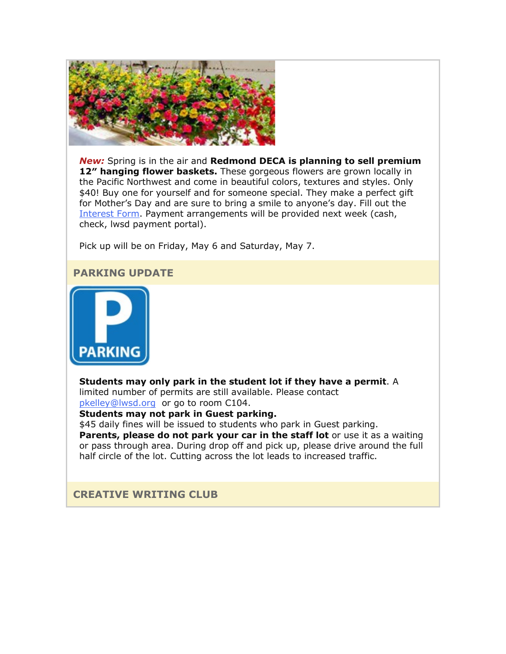

*New:* Spring is in the air and **Redmond DECA is planning to sell premium**  12" hanging flower baskets. These gorgeous flowers are grown locally in the Pacific Northwest and come in beautiful colors, textures and styles. Only \$40! Buy one for yourself and for someone special. They make a perfect gift for Mother's Day and are sure to bring a smile to anyone's day. Fill out the [Interest Form.](https://nam02.safelinks.protection.outlook.com/?url=http%3A%2F%2Flink.email.dynect.net%2Flink.php%3FDynEngagement%3Dtrue%26H%3DOOqfIEhTnDS349ke6cpwQyJJsnz1EIHT%252FaVku0ZQcaF2SFWFVk3NNW39KTE%252FMjezRaBEw4bA1VC7lA5wlEJw6GiECTp70BcYWHvBYfSuZKAbYmPKQAbZbQ%253D%253D%26G%3D0%26R%3Dhttps%253A%252F%252FUQFAGYZTANA.hatchbuck.com%252FTrackLinkClick%253FID2%253DCbkqO1iUQqxSi33GoGci-HENNaDNDEtup4naOljDfSOnHZ1AZv1AAa14XGlp0HRt0%26I%3D20220325213814.0000010a3420%2540smtp-ad3-48-phx%26X%3DMHwxMjY0OTIyOjI1NDE0MzE1Nzk7MXwxMjY0OTIzOjIwMDQxOTc1NDs%253D%26V%3D3%26S%3DMH_swTk25zUJlrCvwn1PADhfMn03N15EzXhfWITlSfk&data=04%7C01%7Cmwood%40lwsd.org%7Cb6d924c17a80466f267408da0ea7df35%7C1fd4673fdf9646218638a1d88c4c85d7%7C0%7C0%7C637838411422759601%7CUnknown%7CTWFpbGZsb3d8eyJWIjoiMC4wLjAwMDAiLCJQIjoiV2luMzIiLCJBTiI6Ik1haWwiLCJXVCI6Mn0%3D%7C3000&sdata=iUjgl%2FfJxWBuEPCz9Pl%2FHxOVG9lmF2AEyM58ckCZrko%3D&reserved=0) Payment arrangements will be provided next week (cash, check, lwsd payment portal).

Pick up will be on Friday, May 6 and Saturday, May 7.

#### **PARKING UPDATE**



**Students may only park in the student lot if they have a permit**. A limited number of permits are still available. Please contact [pkelley@lwsd.org](mailto:pkelley@lwsd.org) or go to room C104.

**Students may not park in Guest parking.**

\$45 daily fines will be issued to students who park in Guest parking. **Parents, please do not park your car in the staff lot** or use it as a waiting or pass through area. During drop off and pick up, please drive around the full half circle of the lot. Cutting across the lot leads to increased traffic.

#### **CREATIVE WRITING CLUB**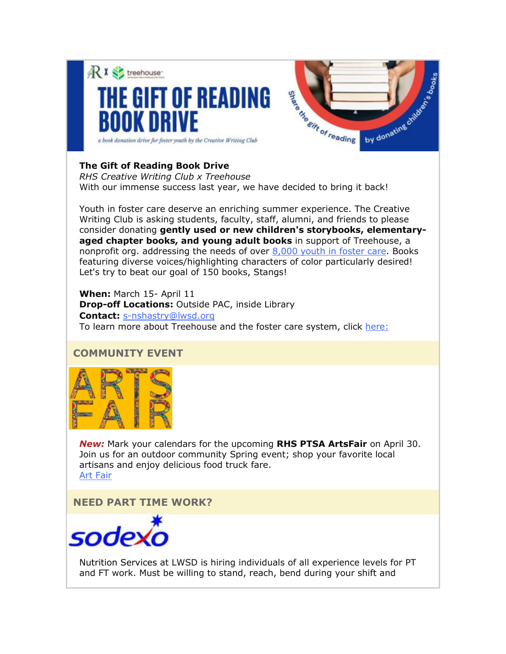

## **The Gift of Reading Book Drive**

*RHS Creative Writing Club x Treehouse* With our immense success last year, we have decided to bring it back!

Youth in foster care deserve an enriching summer experience. The Creative Writing Club is asking students, faculty, staff, alumni, and friends to please consider donating **gently used or new children's storybooks, elementaryaged chapter books, and young adult books** in support of Treehouse, a nonprofit org. addressing the needs of over  $8,000$  youth in foster care. Books featuring diverse voices/highlighting characters of color particularly desired! Let's try to beat our goal of 150 books, Stangs!

**When:** March 15- April 11 **Drop-off Locations:** Outside PAC, inside Library **Contact:** [s-nshastry@lwsd.org](mailto:s-nshastry@lwsd.org) To learn more about Treehouse and the foster care system, click [here:](https://nam02.safelinks.protection.outlook.com/?url=http%3A%2F%2Flink.email.dynect.net%2Flink.php%3FDynEngagement%3Dtrue%26H%3DOOqfIEhTnDS349ke6cpwQyJJsnz1EIHT%252FaVku0ZQcaF2SFWFVk3NNW39KTE%252FMjezRaBEw4bA1VC7lA5wlEJw6GiECTp70BcYWHvBYfSuZKAbYmPKQAbZbQ%253D%253D%26G%3D0%26R%3Dhttps%253A%252F%252FUQFAGYZTANA.hatchbuck.com%252FTrackLinkClick%253FID2%253DujghjHu9ZRLULSvxjWiDaKaMgjAHTACNsCdUv3NXeTWIX1gqsFsSEz6-RSXZwBwx0%26I%3D20220325213814.0000010a3420%2540smtp-ad3-48-phx%26X%3DMHwxMjY0OTIyOjI1NDE0MzE1Nzk7MXwxMjY0OTIzOjIwMDQxOTc1NDs%253D%26V%3D3%26S%3D8e1K9N975hI4EAJUAzZWER-F_mCQO5Wznu-5vOP6Yns&data=04%7C01%7Cmwood%40lwsd.org%7Cb6d924c17a80466f267408da0ea7df35%7C1fd4673fdf9646218638a1d88c4c85d7%7C0%7C0%7C637838411422759601%7CUnknown%7CTWFpbGZsb3d8eyJWIjoiMC4wLjAwMDAiLCJQIjoiV2luMzIiLCJBTiI6Ik1haWwiLCJXVCI6Mn0%3D%7C3000&sdata=dmv5QFUE9WUmBI5leoVoAKLcKPx%2BgwBm5fAsOoEJ5bk%3D&reserved=0)

## **COMMUNITY EVENT**



*New:* Mark your calendars for the upcoming **RHS PTSA ArtsFair** on April 30. Join us for an outdoor community Spring event; shop your favorite local artisans and enjoy delicious food truck fare. [Art Fair](https://nam02.safelinks.protection.outlook.com/?url=http%3A%2F%2Flink.email.dynect.net%2Flink.php%3FDynEngagement%3Dtrue%26H%3DOOqfIEhTnDS349ke6cpwQyJJsnz1EIHT%252FaVku0ZQcaF2SFWFVk3NNW39KTE%252FMjezRaBEw4bA1VC7lA5wlEJw6GiECTp70BcYWHvBYfSuZKAbYmPKQAbZbQ%253D%253D%26G%3D0%26R%3Dhttps%253A%252F%252FUQFAGYZTANA.hatchbuck.com%252FTrackLinkClick%253FID2%253DR_LBetKxDkiG2coyUnnGZPKcgm9TAh2jMV29MJ6FyEoydeRiOQt37fMSvwFz-Dh-0%26I%3D20220325213814.0000010a3420%2540smtp-ad3-48-phx%26X%3DMHwxMjY0OTIyOjI1NDE0MzE1Nzk7MXwxMjY0OTIzOjIwMDQxOTc1NDs%253D%26V%3D3%26S%3Dn0g5kGyElFCswB9fHNhpAJfe8sqPKW3OF03bZ0qyKdo&data=04%7C01%7Cmwood%40lwsd.org%7Cb6d924c17a80466f267408da0ea7df35%7C1fd4673fdf9646218638a1d88c4c85d7%7C0%7C0%7C637838411422759601%7CUnknown%7CTWFpbGZsb3d8eyJWIjoiMC4wLjAwMDAiLCJQIjoiV2luMzIiLCJBTiI6Ik1haWwiLCJXVCI6Mn0%3D%7C3000&sdata=L8B7TBZj%2BJAg40M%2BVDL5PPtYzMceX9xB6Z5nfiGq7I8%3D&reserved=0)

**NEED PART TIME WORK?**



Nutrition Services at LWSD is hiring individuals of all experience levels for PT and FT work. Must be willing to stand, reach, bend during your shift and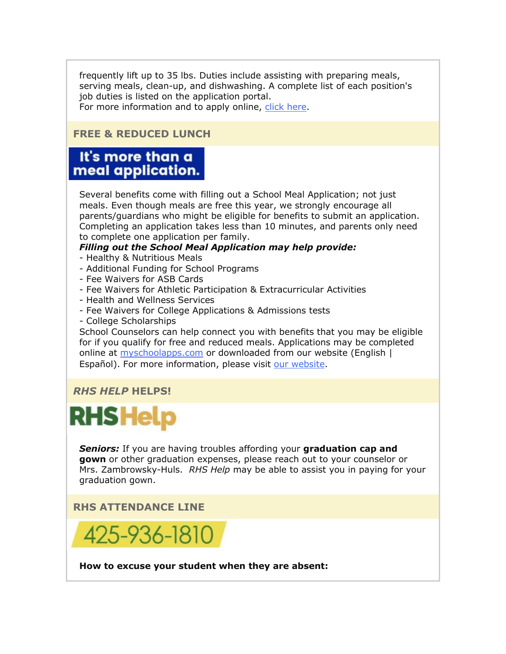frequently lift up to 35 lbs. Duties include assisting with preparing meals, serving meals, clean-up, and dishwashing. A complete list of each position's job duties is listed on the application portal.

For more information and to apply online, [click here.](https://nam02.safelinks.protection.outlook.com/?url=http%3A%2F%2Flink.email.dynect.net%2Flink.php%3FDynEngagement%3Dtrue%26H%3DOOqfIEhTnDS349ke6cpwQyJJsnz1EIHT%252FaVku0ZQcaF2SFWFVk3NNW39KTE%252FMjezRaBEw4bA1VC7lA5wlEJw6GiECTp70BcYWHvBYfSuZKAbYmPKQAbZbQ%253D%253D%26G%3D0%26R%3Dhttps%253A%252F%252FUQFAGYZTANA.hatchbuck.com%252FTrackLinkClick%253FID2%253DDfK5m9HhTQkyNbYY36Er-P-2xoDWQl1C8baBX981eqIQm6yvrPya1Syir5DHrW-m0%26I%3D20220325213814.0000010a3420%2540smtp-ad3-48-phx%26X%3DMHwxMjY0OTIyOjI1NDE0MzE1Nzk7MXwxMjY0OTIzOjIwMDQxOTc1NDs%253D%26V%3D3%26S%3D90_4KaputWQhMuMkirqM7stvhMyadXE94zyUuy5yVlA&data=04%7C01%7Cmwood%40lwsd.org%7Cb6d924c17a80466f267408da0ea7df35%7C1fd4673fdf9646218638a1d88c4c85d7%7C0%7C0%7C637838411422759601%7CUnknown%7CTWFpbGZsb3d8eyJWIjoiMC4wLjAwMDAiLCJQIjoiV2luMzIiLCJBTiI6Ik1haWwiLCJXVCI6Mn0%3D%7C3000&sdata=istuxyOOU86QHbAHSpZk5c7Q9VuCRAnqnUrt4nPzipU%3D&reserved=0)

#### **FREE & REDUCED LUNCH**

## It's more than a meal application.

Several benefits come with filling out a School Meal Application; not just meals. Even though meals are free this year, we strongly encourage all parents/guardians who might be eligible for benefits to submit an application. Completing an application takes less than 10 minutes, and parents only need to complete one application per family.

## *Filling out the School Meal Application may help provide:*

- Healthy & Nutritious Meals
- Additional Funding for School Programs
- Fee Waivers for ASB Cards
- Fee Waivers for Athletic Participation & Extracurricular Activities
- Health and Wellness Services
- Fee Waivers for College Applications & Admissions tests
- College Scholarships

School Counselors can help connect you with benefits that you may be eligible for if you qualify for free and reduced meals. Applications may be completed online at [myschoolapps.com](https://nam02.safelinks.protection.outlook.com/?url=http%3A%2F%2Flink.email.dynect.net%2Flink.php%3FDynEngagement%3Dtrue%26H%3DOOqfIEhTnDS349ke6cpwQyJJsnz1EIHT%252FaVku0ZQcaF2SFWFVk3NNW39KTE%252FMjezRaBEw4bA1VC7lA5wlEJw6GiECTp70BcYWHvBYfSuZKAbYmPKQAbZbQ%253D%253D%26G%3D0%26R%3Dhttps%253A%252F%252FUQFAGYZTANA.hatchbuck.com%252FTrackLinkClick%253FID2%253DjxI7CoFrVSHagBFXjCR0EPAd3bEEmB-iDfyh63HpWdNGDGEaNKTpaers2ujBKeWH0%26I%3D20220325213814.0000010a3420%2540smtp-ad3-48-phx%26X%3DMHwxMjY0OTIyOjI1NDE0MzE1Nzk7MXwxMjY0OTIzOjIwMDQxOTc1NDs%253D%26V%3D3%26S%3DiHLlLWhtmEhUMmN3dKIvYNBCij1zbNU5wx04GHTGYeE&data=04%7C01%7Cmwood%40lwsd.org%7Cb6d924c17a80466f267408da0ea7df35%7C1fd4673fdf9646218638a1d88c4c85d7%7C0%7C0%7C637838411422759601%7CUnknown%7CTWFpbGZsb3d8eyJWIjoiMC4wLjAwMDAiLCJQIjoiV2luMzIiLCJBTiI6Ik1haWwiLCJXVCI6Mn0%3D%7C3000&sdata=T99GPhl4c13uuC5w4q7BzOsdUDXx73y1G57NX%2ByuKsA%3D&reserved=0) or downloaded from our website (English | Español). For more information, please visit [our website.](https://nam02.safelinks.protection.outlook.com/?url=http%3A%2F%2Flink.email.dynect.net%2Flink.php%3FDynEngagement%3Dtrue%26H%3DOOqfIEhTnDS349ke6cpwQyJJsnz1EIHT%252FaVku0ZQcaF2SFWFVk3NNW39KTE%252FMjezRaBEw4bA1VC7lA5wlEJw6GiECTp70BcYWHvBYfSuZKAbYmPKQAbZbQ%253D%253D%26G%3D0%26R%3Dhttps%253A%252F%252FUQFAGYZTANA.hatchbuck.com%252FTrackLinkClick%253FID2%253DLEjTcRRdQ9P2tX-pc874ke43EtZ5d26XdbrYmXVS6Di2vKv5ZP67isI94hzfahoa0%26I%3D20220325213814.0000010a3420%2540smtp-ad3-48-phx%26X%3DMHwxMjY0OTIyOjI1NDE0MzE1Nzk7MXwxMjY0OTIzOjIwMDQxOTc1NDs%253D%26V%3D3%26S%3DQyPyPXQML_IoIyDNLSQv748upJzlIkXwggRHitCBhSU&data=04%7C01%7Cmwood%40lwsd.org%7Cb6d924c17a80466f267408da0ea7df35%7C1fd4673fdf9646218638a1d88c4c85d7%7C0%7C0%7C637838411422759601%7CUnknown%7CTWFpbGZsb3d8eyJWIjoiMC4wLjAwMDAiLCJQIjoiV2luMzIiLCJBTiI6Ik1haWwiLCJXVCI6Mn0%3D%7C3000&sdata=aZRWt9mVlo9mUgbUT%2BGPxfM1FwK1y1Ye%2FNdeYPjomFI%3D&reserved=0)

## *RHS HELP* **HELPS!**

## **RHS Help**

*Seniors:* If you are having troubles affording your **graduation cap and gown** or other graduation expenses, please reach out to your counselor or Mrs. Zambrowsky-Huls. *RHS Help* may be able to assist you in paying for your graduation gown.

## **RHS ATTENDANCE LINE**



**How to excuse your student when they are absent:**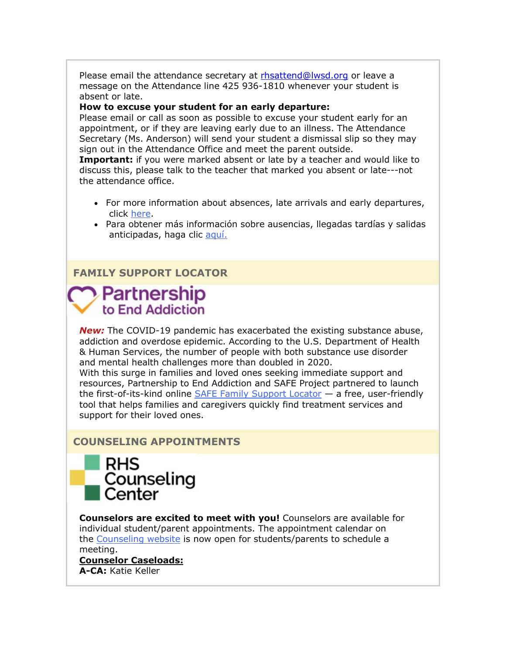Please email the attendance secretary at [rhsattend@lwsd.org](mailto:rhsattend@lwsd.org) or leave a message on the Attendance line 425 936-1810 whenever your student is absent or late.

#### **How to excuse your student for an early departure:**

Please email or call as soon as possible to excuse your student early for an appointment, or if they are leaving early due to an illness. The Attendance Secretary (Ms. Anderson) will send your student a dismissal slip so they may sign out in the Attendance Office and meet the parent outside.

**Important:** if you were marked absent or late by a teacher and would like to discuss this, please talk to the teacher that marked you absent or late---not the attendance office.

- For more information about absences, late arrivals and early departures, click [here.](https://nam02.safelinks.protection.outlook.com/?url=http%3A%2F%2Flink.email.dynect.net%2Flink.php%3FDynEngagement%3Dtrue%26H%3DOOqfIEhTnDS349ke6cpwQyJJsnz1EIHT%252FaVku0ZQcaF2SFWFVk3NNW39KTE%252FMjezRaBEw4bA1VC7lA5wlEJw6GiECTp70BcYWHvBYfSuZKAbYmPKQAbZbQ%253D%253D%26G%3D0%26R%3Dhttps%253A%252F%252FUQFAGYZTANA.hatchbuck.com%252FTrackLinkClick%253FID2%253DY-Zw5xcLUFigRPMkyP4nCi8CDHhjxW_IWh-TjB0oEzw98AXr6fvp51j6Ef7OcdIm0%26I%3D20220325213814.0000010a3420%2540smtp-ad3-48-phx%26X%3DMHwxMjY0OTIyOjI1NDE0MzE1Nzk7MXwxMjY0OTIzOjIwMDQxOTc1NDs%253D%26V%3D3%26S%3DrUDLeKotSOQBjZEIjcqoi1j7f55Xy1tp_g1giw6irIY&data=04%7C01%7Cmwood%40lwsd.org%7Cb6d924c17a80466f267408da0ea7df35%7C1fd4673fdf9646218638a1d88c4c85d7%7C0%7C0%7C637838411422759601%7CUnknown%7CTWFpbGZsb3d8eyJWIjoiMC4wLjAwMDAiLCJQIjoiV2luMzIiLCJBTiI6Ik1haWwiLCJXVCI6Mn0%3D%7C3000&sdata=TQ6zakEudY19IrcRrB2IQbT6rJWxLpXWPZ0Y4ZK7rqY%3D&reserved=0)
- Para obtener más información sobre ausencias, llegadas tardías y salidas anticipadas, haga clic [aquí.](https://nam02.safelinks.protection.outlook.com/?url=http%3A%2F%2Flink.email.dynect.net%2Flink.php%3FDynEngagement%3Dtrue%26H%3DOOqfIEhTnDS349ke6cpwQyJJsnz1EIHT%252FaVku0ZQcaF2SFWFVk3NNW39KTE%252FMjezRaBEw4bA1VC7lA5wlEJw6GiECTp70BcYWHvBYfSuZKAbYmPKQAbZbQ%253D%253D%26G%3D0%26R%3Dhttps%253A%252F%252FUQFAGYZTANA.hatchbuck.com%252FTrackLinkClick%253FID2%253DvGNqDxWhqCLPJ4NYiLO6lQcZA2GwXSBAlftmHEqh2DY46GwIehwflH5Q7ehuujoF0%26I%3D20220325213814.0000010a3420%2540smtp-ad3-48-phx%26X%3DMHwxMjY0OTIyOjI1NDE0MzE1Nzk7MXwxMjY0OTIzOjIwMDQxOTc1NDs%253D%26V%3D3%26S%3DvZ5upkvbUZKCsK00Ew9n4xsfNLNjNdDUPh1-ZmLTW0Q&data=04%7C01%7Cmwood%40lwsd.org%7Cb6d924c17a80466f267408da0ea7df35%7C1fd4673fdf9646218638a1d88c4c85d7%7C0%7C0%7C637838411422759601%7CUnknown%7CTWFpbGZsb3d8eyJWIjoiMC4wLjAwMDAiLCJQIjoiV2luMzIiLCJBTiI6Ik1haWwiLCJXVCI6Mn0%3D%7C3000&sdata=HRhYvXZai%2BTj0%2FVPIInmrqCTqi%2Fhsslfr087EyD3H0U%3D&reserved=0)

#### **FAMILY SUPPORT LOCATOR**

## Partnership to End Addiction

*New:* The COVID-19 pandemic has exacerbated the existing substance abuse, addiction and overdose epidemic. According to the U.S. Department of Health & Human Services, the number of people with both substance use disorder and mental health challenges more than doubled in 2020.

With this surge in families and loved ones seeking immediate support and resources, Partnership to End Addiction and SAFE Project partnered to launch the first-of-its-kind online [SAFE Family Support Locator](https://nam02.safelinks.protection.outlook.com/?url=http%3A%2F%2Flink.email.dynect.net%2Flink.php%3FDynEngagement%3Dtrue%26H%3DOOqfIEhTnDS349ke6cpwQyJJsnz1EIHT%252FaVku0ZQcaF2SFWFVk3NNW39KTE%252FMjezRaBEw4bA1VC7lA5wlEJw6GiECTp70BcYWHvBYfSuZKAbYmPKQAbZbQ%253D%253D%26G%3D0%26R%3Dhttps%253A%252F%252FUQFAGYZTANA.hatchbuck.com%252FTrackLinkClick%253FID2%253DZip7JWy5A7sZ2uHyy0z0qPYYppkMPCnlaYmfJbvJ3ENv5InofTVB19KEOP2x_WRD0%26I%3D20220325213814.0000010a3420%2540smtp-ad3-48-phx%26X%3DMHwxMjY0OTIyOjI1NDE0MzE1Nzk7MXwxMjY0OTIzOjIwMDQxOTc1NDs%253D%26V%3D3%26S%3DQoeXOtx3IZatATFyUS0mYgBdPGmGl2cQATh4pGVA7Xs&data=04%7C01%7Cmwood%40lwsd.org%7Cb6d924c17a80466f267408da0ea7df35%7C1fd4673fdf9646218638a1d88c4c85d7%7C0%7C0%7C637838411422759601%7CUnknown%7CTWFpbGZsb3d8eyJWIjoiMC4wLjAwMDAiLCJQIjoiV2luMzIiLCJBTiI6Ik1haWwiLCJXVCI6Mn0%3D%7C3000&sdata=IAI6Gl3zgLHv4pjLmM19Zs9H2WLlWbRS%2FjIsqTBtnJ8%3D&reserved=0) — a free, user-friendly tool that helps families and caregivers quickly find treatment services and support for their loved ones.

#### **COUNSELING APPOINTMENTS**



**Counselors are excited to meet with you!** Counselors are available for individual student/parent appointments. The appointment calendar on the [Counseling website](https://nam02.safelinks.protection.outlook.com/?url=http%3A%2F%2Flink.email.dynect.net%2Flink.php%3FDynEngagement%3Dtrue%26H%3DOOqfIEhTnDS349ke6cpwQyJJsnz1EIHT%252FaVku0ZQcaF2SFWFVk3NNW39KTE%252FMjezRaBEw4bA1VC7lA5wlEJw6GiECTp70BcYWHvBYfSuZKAbYmPKQAbZbQ%253D%253D%26G%3D0%26R%3Dhttps%253A%252F%252FUQFAGYZTANA.hatchbuck.com%252FTrackLinkClick%253FID2%253DtBlMGcSczZn8CzxDKX6F5GvYp84EWzvwEgs3K2imiyST55XE3bK7AaxtpzMr-icz0%26I%3D20220325213814.0000010a3420%2540smtp-ad3-48-phx%26X%3DMHwxMjY0OTIyOjI1NDE0MzE1Nzk7MXwxMjY0OTIzOjIwMDQxOTc1NDs%253D%26V%3D3%26S%3DTfNFoN7aZvbYHf0Mvinqvxz9Aag-HOt0_3fSDgSe-us&data=04%7C01%7Cmwood%40lwsd.org%7Cb6d924c17a80466f267408da0ea7df35%7C1fd4673fdf9646218638a1d88c4c85d7%7C0%7C0%7C637838411422759601%7CUnknown%7CTWFpbGZsb3d8eyJWIjoiMC4wLjAwMDAiLCJQIjoiV2luMzIiLCJBTiI6Ik1haWwiLCJXVCI6Mn0%3D%7C3000&sdata=v8krS%2FzRjasVuNEDQiTMchnvObb7sg4SA6wP1u6U8tM%3D&reserved=0) is now open for students/parents to schedule a meeting.

**Counselor Caseloads: A-CA:** Katie Keller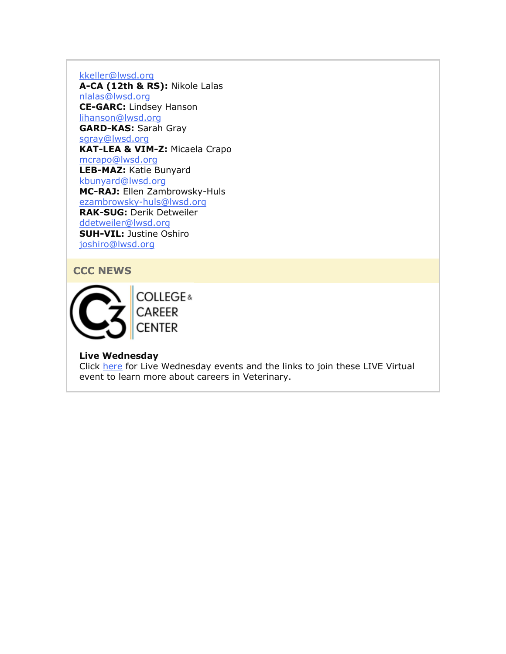[kkeller@lwsd.org](mailto:kkeller@lwsd.org)

**A-CA (12th & RS):** Nikole Lalas [nlalas@lwsd.org](mailto:nlalas@lwsd.org) **CE-GARC:** Lindsey Hanson [lihanson@lwsd.org](mailto:lihanson@lwsd.org) **GARD-KAS:** Sarah Gray [sgray@lwsd.org](mailto:sgray@lwsd.org) **KAT-LEA & VIM-Z:** Micaela Crapo [mcrapo@lwsd.org](mailto:mcrapo@lwsd.org) **LEB-MAZ:** Katie Bunyard [kbunyard@lwsd.org](mailto:Kbunyard@lwsd.org) **MC-RAJ:** Ellen Zambrowsky-Huls [ezambrowsky-huls@lwsd.org](mailto:Ezambrowsky-huls@lwsd.org) **RAK-SUG:** Derik Detweiler [ddetweiler@lwsd.org](mailto:ddetweiler@lwsd.org) **SUH-VIL:** Justine Oshiro [joshiro@lwsd.org](mailto:joshiro@lwsd.org)

#### **CCC NEWS**



**Live Wednesday**

Click [here](https://nam02.safelinks.protection.outlook.com/?url=http%3A%2F%2Flink.email.dynect.net%2Flink.php%3FDynEngagement%3Dtrue%26H%3DOOqfIEhTnDS349ke6cpwQyJJsnz1EIHT%252FaVku0ZQcaF2SFWFVk3NNW39KTE%252FMjezRaBEw4bA1VC7lA5wlEJw6GiECTp70BcYWHvBYfSuZKAbYmPKQAbZbQ%253D%253D%26G%3D0%26R%3Dhttps%253A%252F%252FUQFAGYZTANA.hatchbuck.com%252FTrackLinkClick%253FID2%253D6erLO5voaCfSws4wNhWfVAnLO0OgbbJuBIr8QrYaAxg1xKusMDIgm-fLfCvgeFmb0%26I%3D20220325213814.0000010a3420%2540smtp-ad3-48-phx%26X%3DMHwxMjY0OTIyOjI1NDE0MzE1Nzk7MXwxMjY0OTIzOjIwMDQxOTc1NDs%253D%26V%3D3%26S%3DDw3f5jyuf5njcxn6G7GpoayonDt0RyjC9G1DUWRCCro&data=04%7C01%7Cmwood%40lwsd.org%7Cb6d924c17a80466f267408da0ea7df35%7C1fd4673fdf9646218638a1d88c4c85d7%7C0%7C0%7C637838411422759601%7CUnknown%7CTWFpbGZsb3d8eyJWIjoiMC4wLjAwMDAiLCJQIjoiV2luMzIiLCJBTiI6Ik1haWwiLCJXVCI6Mn0%3D%7C3000&sdata=Q4d9yubhdW8znvJxr6cZQ8a6chhlxFLrmhYdxEWOVAg%3D&reserved=0) for Live Wednesday events and the links to join these LIVE Virtual event to learn more about careers in Veterinary.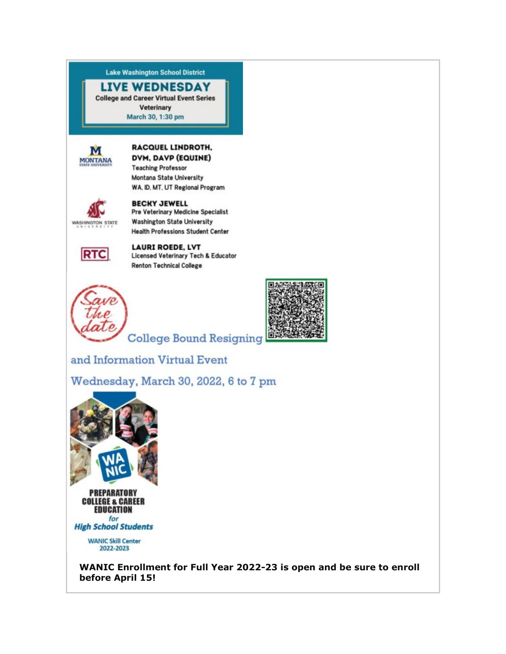**Lake Washington School District** 

## **LIVE WEDNESDAY**

**College and Career Virtual Event Series Veterinary** March 30, 1:30 pm



#### **RACQUEL LINDROTH,** DVM, DAVP (EQUINE)

**Teaching Professor** Montana State University WA. ID, MT, UT Regional Program



#### **BECKY JEWELL** Pre Veterinary Medicine Specialist **Washington State University Health Professions Student Center**



**LAURI ROEDE, LVT Licensed Veterinary Tech & Educator Renton Technical College** 





**College Bound Resigning** 

and Information Virtual Event

Wednesday, March 30, 2022, 6 to 7 pm



**EDUCATION** for **High School Students** 

> **WANIC Skill Center** 2022-2023

**WANIC Enrollment for Full Year 2022-23 is open and be sure to enroll before April 15!**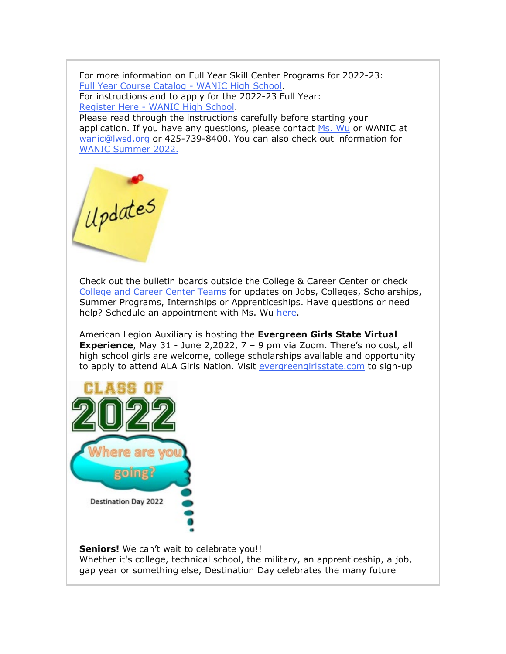For more information on Full Year Skill Center Programs for 2022-23: [Full Year Course Catalog -](https://nam02.safelinks.protection.outlook.com/?url=http%3A%2F%2Flink.email.dynect.net%2Flink.php%3FDynEngagement%3Dtrue%26H%3DOOqfIEhTnDS349ke6cpwQyJJsnz1EIHT%252FaVku0ZQcaF2SFWFVk3NNW39KTE%252FMjezRaBEw4bA1VC7lA5wlEJw6GiECTp70BcYWHvBYfSuZKAbYmPKQAbZbQ%253D%253D%26G%3D0%26R%3Dhttps%253A%252F%252FUQFAGYZTANA.hatchbuck.com%252FTrackLinkClick%253FID2%253D1CBVhEtRMEQTlM5EUmef-W_nwD4cnvjo7fmDa0HMEGBUfclKeCq8MA_40YfXkvVB0%26I%3D20220325213814.0000010a3420%2540smtp-ad3-48-phx%26X%3DMHwxMjY0OTIyOjI1NDE0MzE1Nzk7MXwxMjY0OTIzOjIwMDQxOTc1NDs%253D%26V%3D3%26S%3DqqN-rQufHTqXR4jXlUMmmonCaWtTFulkFMfhU-sNr3I&data=04%7C01%7Cmwood%40lwsd.org%7Cb6d924c17a80466f267408da0ea7df35%7C1fd4673fdf9646218638a1d88c4c85d7%7C0%7C0%7C637838411422759601%7CUnknown%7CTWFpbGZsb3d8eyJWIjoiMC4wLjAwMDAiLCJQIjoiV2luMzIiLCJBTiI6Ik1haWwiLCJXVCI6Mn0%3D%7C3000&sdata=ScK5KWUBtXGVQnYghTrlBKjrDaRx9Se7TWr%2BONDZjRk%3D&reserved=0) WANIC High School. For instructions and to apply for the 2022-23 Full Year: Register Here - [WANIC High School.](https://nam02.safelinks.protection.outlook.com/?url=http%3A%2F%2Flink.email.dynect.net%2Flink.php%3FDynEngagement%3Dtrue%26H%3DOOqfIEhTnDS349ke6cpwQyJJsnz1EIHT%252FaVku0ZQcaF2SFWFVk3NNW39KTE%252FMjezRaBEw4bA1VC7lA5wlEJw6GiECTp70BcYWHvBYfSuZKAbYmPKQAbZbQ%253D%253D%26G%3D0%26R%3Dhttps%253A%252F%252FUQFAGYZTANA.hatchbuck.com%252FTrackLinkClick%253FID2%253DKkEzIxOaHNsbb2RyX1IqQt8xlbV2otCxe7a-4MTXjaxJWKD_wQVcWWRkGDp1Go9O0%26I%3D20220325213814.0000010a3420%2540smtp-ad3-48-phx%26X%3DMHwxMjY0OTIyOjI1NDE0MzE1Nzk7MXwxMjY0OTIzOjIwMDQxOTc1NDs%253D%26V%3D3%26S%3DVqqx4hOji2NJ7N1Z9sJptDb8zVwfkVwuTKrSESmDy7A&data=04%7C01%7Cmwood%40lwsd.org%7Cb6d924c17a80466f267408da0ea7df35%7C1fd4673fdf9646218638a1d88c4c85d7%7C0%7C0%7C637838411422759601%7CUnknown%7CTWFpbGZsb3d8eyJWIjoiMC4wLjAwMDAiLCJQIjoiV2luMzIiLCJBTiI6Ik1haWwiLCJXVCI6Mn0%3D%7C3000&sdata=Y5I2j9BYO56PSxOqvx3EYbwty%2B7JILaHrWBadAqJVN0%3D&reserved=0) Please read through the instructions carefully before starting your

application. If you have any questions, please contact [Ms. Wu](mailto:rwu@lwsd.org) or WANIC at [wanic@lwsd.org](mailto:wanic@lwsd.org) or 425-739-8400. You can also check out information for [WANIC Summer 2022.](https://nam02.safelinks.protection.outlook.com/?url=http%3A%2F%2Flink.email.dynect.net%2Flink.php%3FDynEngagement%3Dtrue%26H%3DOOqfIEhTnDS349ke6cpwQyJJsnz1EIHT%252FaVku0ZQcaF2SFWFVk3NNW39KTE%252FMjezRaBEw4bA1VC7lA5wlEJw6GiECTp70BcYWHvBYfSuZKAbYmPKQAbZbQ%253D%253D%26G%3D0%26R%3Dhttps%253A%252F%252FUQFAGYZTANA.hatchbuck.com%252FTrackLinkClick%253FID2%253D1Yw6pQ2zhlQtdX6fQFYdPZ9ZM3UpDa78I7e8jWgMT2x4oyu2MXDl7vvnIMiVSqnJ0%26I%3D20220325213814.0000010a3420%2540smtp-ad3-48-phx%26X%3DMHwxMjY0OTIyOjI1NDE0MzE1Nzk7MXwxMjY0OTIzOjIwMDQxOTc1NDs%253D%26V%3D3%26S%3Dkhipn3vEdmiRvAY6h4xBxgs3YBAZstbSyJY5Jf6ubNw&data=04%7C01%7Cmwood%40lwsd.org%7Cb6d924c17a80466f267408da0ea7df35%7C1fd4673fdf9646218638a1d88c4c85d7%7C0%7C0%7C637838411422759601%7CUnknown%7CTWFpbGZsb3d8eyJWIjoiMC4wLjAwMDAiLCJQIjoiV2luMzIiLCJBTiI6Ik1haWwiLCJXVCI6Mn0%3D%7C3000&sdata=ZbNdR3M1BcHFQ4rxrxgS33aaHlmf8U2ca4Oc5o47rl0%3D&reserved=0)

Updates

Check out the bulletin boards outside the College & Career Center or check [College and Career Center Teams](https://nam02.safelinks.protection.outlook.com/?url=http%3A%2F%2Flink.email.dynect.net%2Flink.php%3FDynEngagement%3Dtrue%26H%3DOOqfIEhTnDS349ke6cpwQyJJsnz1EIHT%252FaVku0ZQcaF2SFWFVk3NNW39KTE%252FMjezRaBEw4bA1VC7lA5wlEJw6GiECTp70BcYWHvBYfSuZKAbYmPKQAbZbQ%253D%253D%26G%3D0%26R%3Dhttps%253A%252F%252FUQFAGYZTANA.hatchbuck.com%252FTrackLinkClick%253FID2%253DAZxHy9Y8E7vs0-sXlKnPFKu9M3NG48Gq-cFKgU0m-AdJC8xdqgf6eJUf5LDzf7SF0%26I%3D20220325213814.0000010a3420%2540smtp-ad3-48-phx%26X%3DMHwxMjY0OTIyOjI1NDE0MzE1Nzk7MXwxMjY0OTIzOjIwMDQxOTc1NDs%253D%26V%3D3%26S%3D74QQHtLeTdQwTZQFmdnqqbqc660Z2fCgWlh_Y0ZYmDA&data=04%7C01%7Cmwood%40lwsd.org%7Cb6d924c17a80466f267408da0ea7df35%7C1fd4673fdf9646218638a1d88c4c85d7%7C0%7C0%7C637838411422759601%7CUnknown%7CTWFpbGZsb3d8eyJWIjoiMC4wLjAwMDAiLCJQIjoiV2luMzIiLCJBTiI6Ik1haWwiLCJXVCI6Mn0%3D%7C3000&sdata=PAG7vWW%2FeY6M3iRhntljoL8VoxWFdNcFs2YCXQQSnmc%3D&reserved=0) for updates on Jobs, Colleges, Scholarships, Summer Programs, Internships or Apprenticeships. Have questions or need help? Schedule an appointment with Ms. Wu [here.](https://nam02.safelinks.protection.outlook.com/?url=http%3A%2F%2Flink.email.dynect.net%2Flink.php%3FDynEngagement%3Dtrue%26H%3DOOqfIEhTnDS349ke6cpwQyJJsnz1EIHT%252FaVku0ZQcaF2SFWFVk3NNW39KTE%252FMjezRaBEw4bA1VC7lA5wlEJw6GiECTp70BcYWHvBYfSuZKAbYmPKQAbZbQ%253D%253D%26G%3D0%26R%3Dhttps%253A%252F%252FUQFAGYZTANA.hatchbuck.com%252FTrackLinkClick%253FID2%253Dqi9lPpMSy7E9xK4E93Eu46_6wg5vhzk_3RBTWjCPNMKBMYny0ZryXLLTMtfjrFMS0%26I%3D20220325213814.0000010a3420%2540smtp-ad3-48-phx%26X%3DMHwxMjY0OTIyOjI1NDE0MzE1Nzk7MXwxMjY0OTIzOjIwMDQxOTc1NDs%253D%26V%3D3%26S%3Dbo0v1qDyFXoD5c4ld5Kd-DGo0JExvR9O5jvugG-Xafk&data=04%7C01%7Cmwood%40lwsd.org%7Cb6d924c17a80466f267408da0ea7df35%7C1fd4673fdf9646218638a1d88c4c85d7%7C0%7C0%7C637838411422759601%7CUnknown%7CTWFpbGZsb3d8eyJWIjoiMC4wLjAwMDAiLCJQIjoiV2luMzIiLCJBTiI6Ik1haWwiLCJXVCI6Mn0%3D%7C3000&sdata=gpcxbAE6NiNsI3KbXIcVQE%2B46UA%2FK56%2Bhn0SoReDLuo%3D&reserved=0)

American Legion Auxiliary is hosting the **Evergreen Girls State Virtual Experience**, May 31 - June 2,2022, 7 – 9 pm via Zoom. There's no cost, all high school girls are welcome, college scholarships available and opportunity to apply to attend ALA Girls Nation. Visit [evergreengirlsstate.com](https://nam02.safelinks.protection.outlook.com/?url=http%3A%2F%2Flink.email.dynect.net%2Flink.php%3FDynEngagement%3Dtrue%26H%3DOOqfIEhTnDS349ke6cpwQyJJsnz1EIHT%252FaVku0ZQcaF2SFWFVk3NNW39KTE%252FMjezRaBEw4bA1VC7lA5wlEJw6GiECTp70BcYWHvBYfSuZKAbYmPKQAbZbQ%253D%253D%26G%3D0%26R%3Dhttps%253A%252F%252FUQFAGYZTANA.hatchbuck.com%252FTrackLinkClick%253FID2%253D4WjMYvnY1wptgF7uyMu3Vd2F2jxvWVcftu55uoyLurKZkOv3BrEx5jSlYfjc879F0%26I%3D20220325213814.0000010a3420%2540smtp-ad3-48-phx%26X%3DMHwxMjY0OTIyOjI1NDE0MzE1Nzk7MXwxMjY0OTIzOjIwMDQxOTc1NDs%253D%26V%3D3%26S%3D6zlG1YUc0j6Awhw6gxgTIyCT-npX99PzAdm38yavjcU&data=04%7C01%7Cmwood%40lwsd.org%7Cb6d924c17a80466f267408da0ea7df35%7C1fd4673fdf9646218638a1d88c4c85d7%7C0%7C0%7C637838411422759601%7CUnknown%7CTWFpbGZsb3d8eyJWIjoiMC4wLjAwMDAiLCJQIjoiV2luMzIiLCJBTiI6Ik1haWwiLCJXVCI6Mn0%3D%7C3000&sdata=oQqef4GHNBEDi1%2BEw17FCYlg7y3dZ7pOfUt2dCJ7l%2BU%3D&reserved=0) to sign-up



**Seniors!** We can't wait to celebrate you!! Whether it's college, technical school, the military, an apprenticeship, a job, gap year or something else, Destination Day celebrates the many future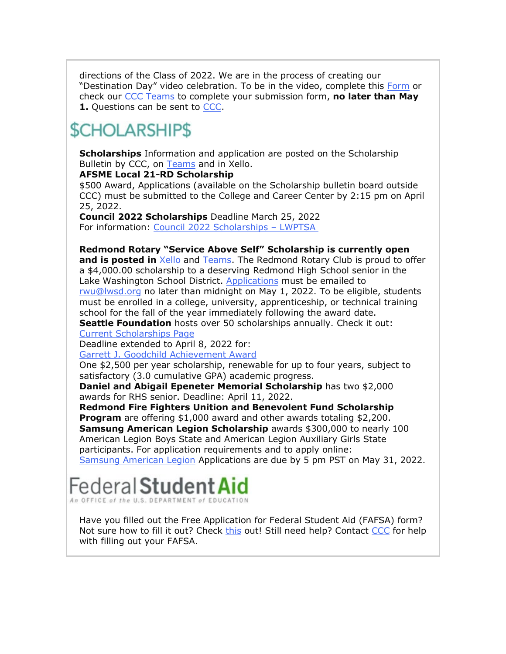directions of the Class of 2022. We are in the process of creating our "Destination Day" video celebration. To be in the video, complete this [Form](https://nam02.safelinks.protection.outlook.com/?url=http%3A%2F%2Flink.email.dynect.net%2Flink.php%3FDynEngagement%3Dtrue%26H%3DOOqfIEhTnDS349ke6cpwQyJJsnz1EIHT%252FaVku0ZQcaF2SFWFVk3NNW39KTE%252FMjezRaBEw4bA1VC7lA5wlEJw6GiECTp70BcYWHvBYfSuZKAbYmPKQAbZbQ%253D%253D%26G%3D0%26R%3Dhttps%253A%252F%252FUQFAGYZTANA.hatchbuck.com%252FTrackLinkClick%253FID2%253DgFVJ9Q6LhS6xPjQy1kD-K-0ErljdIcIS_Cpvvh5JnlywzA3yxU_994zQRpEvy4Zd0%26I%3D20220325213814.0000010a3420%2540smtp-ad3-48-phx%26X%3DMHwxMjY0OTIyOjI1NDE0MzE1Nzk7MXwxMjY0OTIzOjIwMDQxOTc1NDs%253D%26V%3D3%26S%3DObE116x1hO8MjYSzPLRckSc5CTKWxyzqiqMv9CRttQk&data=04%7C01%7Cmwood%40lwsd.org%7Cb6d924c17a80466f267408da0ea7df35%7C1fd4673fdf9646218638a1d88c4c85d7%7C0%7C0%7C637838411422759601%7CUnknown%7CTWFpbGZsb3d8eyJWIjoiMC4wLjAwMDAiLCJQIjoiV2luMzIiLCJBTiI6Ik1haWwiLCJXVCI6Mn0%3D%7C3000&sdata=8S%2Be6r7KO9jB6XPYasc18IKsao7uAOjQzklvxw4KBPk%3D&reserved=0) or check our [CCC Teams](https://nam02.safelinks.protection.outlook.com/?url=http%3A%2F%2Flink.email.dynect.net%2Flink.php%3FDynEngagement%3Dtrue%26H%3DOOqfIEhTnDS349ke6cpwQyJJsnz1EIHT%252FaVku0ZQcaF2SFWFVk3NNW39KTE%252FMjezRaBEw4bA1VC7lA5wlEJw6GiECTp70BcYWHvBYfSuZKAbYmPKQAbZbQ%253D%253D%26G%3D0%26R%3Dhttps%253A%252F%252FUQFAGYZTANA.hatchbuck.com%252FTrackLinkClick%253FID2%253DAZxHy9Y8E7vs0-sXlKnPFKu9M3NG48Gq-cFKgU0m-AdJC8xdqgf6eJUf5LDzf7SF0%26I%3D20220325213814.0000010a3420%2540smtp-ad3-48-phx%26X%3DMHwxMjY0OTIyOjI1NDE0MzE1Nzk7MXwxMjY0OTIzOjIwMDQxOTc1NDs%253D%26V%3D3%26S%3D74QQHtLeTdQwTZQFmdnqqbqc660Z2fCgWlh_Y0ZYmDA&data=04%7C01%7Cmwood%40lwsd.org%7Cb6d924c17a80466f267408da0ea7df35%7C1fd4673fdf9646218638a1d88c4c85d7%7C0%7C0%7C637838411422759601%7CUnknown%7CTWFpbGZsb3d8eyJWIjoiMC4wLjAwMDAiLCJQIjoiV2luMzIiLCJBTiI6Ik1haWwiLCJXVCI6Mn0%3D%7C3000&sdata=PAG7vWW%2FeY6M3iRhntljoL8VoxWFdNcFs2YCXQQSnmc%3D&reserved=0) to complete your submission form, **no later than May 1.** Questions can be sent to [CCC.](mailto:rwu@lwsd.org)

## **SCHOLARSHIPS**

**Scholarships** Information and application are posted on the Scholarship Bulletin by CCC, on [Teams](https://nam02.safelinks.protection.outlook.com/?url=http%3A%2F%2Flink.email.dynect.net%2Flink.php%3FDynEngagement%3Dtrue%26H%3DOOqfIEhTnDS349ke6cpwQyJJsnz1EIHT%252FaVku0ZQcaF2SFWFVk3NNW39KTE%252FMjezRaBEw4bA1VC7lA5wlEJw6GiECTp70BcYWHvBYfSuZKAbYmPKQAbZbQ%253D%253D%26G%3D0%26R%3Dhttps%253A%252F%252FUQFAGYZTANA.hatchbuck.com%252FTrackLinkClick%253FID2%253D5bUu-_8NUTn5urpfMU-luPwetmySZQjuFMSUdSZHaqjOxwruvUvvsULQ0WCc_Nx40%26I%3D20220325213814.0000010a3420%2540smtp-ad3-48-phx%26X%3DMHwxMjY0OTIyOjI1NDE0MzE1Nzk7MXwxMjY0OTIzOjIwMDQxOTc1NDs%253D%26V%3D3%26S%3DTlBnMmrGgxWoJ6UbNcROHqnlkckcPMoh-yYjcBP2Ri8&data=04%7C01%7Cmwood%40lwsd.org%7Cb6d924c17a80466f267408da0ea7df35%7C1fd4673fdf9646218638a1d88c4c85d7%7C0%7C0%7C637838411422915851%7CUnknown%7CTWFpbGZsb3d8eyJWIjoiMC4wLjAwMDAiLCJQIjoiV2luMzIiLCJBTiI6Ik1haWwiLCJXVCI6Mn0%3D%7C3000&sdata=MzwyxpjsYQTckNnTrZJPFmHEFHFx0CGxjmXLrlzJ4bQ%3D&reserved=0) and in Xello.

#### **AFSME Local 21-RD Scholarship**

\$500 Award, Applications (available on the Scholarship bulletin board outside CCC) must be submitted to the College and Career Center by 2:15 pm on April 25, 2022.

**Council 2022 Scholarships** Deadline March 25, 2022 For information: [Council 2022 Scholarships](https://nam02.safelinks.protection.outlook.com/?url=http%3A%2F%2Flink.email.dynect.net%2Flink.php%3FDynEngagement%3Dtrue%26H%3DOOqfIEhTnDS349ke6cpwQyJJsnz1EIHT%252FaVku0ZQcaF2SFWFVk3NNW39KTE%252FMjezRaBEw4bA1VC7lA5wlEJw6GiECTp70BcYWHvBYfSuZKAbYmPKQAbZbQ%253D%253D%26G%3D0%26R%3Dhttps%253A%252F%252FUQFAGYZTANA.hatchbuck.com%252FTrackLinkClick%253FID2%253DVXXc0OZiSN2fm7UOFFZsGDFQqw9Nzhw6nbsf0kHKy5Z2Hu5oqFrZRvCMChAZJiHK0%26I%3D20220325213814.0000010a3420%2540smtp-ad3-48-phx%26X%3DMHwxMjY0OTIyOjI1NDE0MzE1Nzk7MXwxMjY0OTIzOjIwMDQxOTc1NDs%253D%26V%3D3%26S%3DqwzxC_ejTCJPwzIzy-tk6G4M8Uu9Mf5GFh33eGm4fKg&data=04%7C01%7Cmwood%40lwsd.org%7Cb6d924c17a80466f267408da0ea7df35%7C1fd4673fdf9646218638a1d88c4c85d7%7C0%7C0%7C637838411422915851%7CUnknown%7CTWFpbGZsb3d8eyJWIjoiMC4wLjAwMDAiLCJQIjoiV2luMzIiLCJBTiI6Ik1haWwiLCJXVCI6Mn0%3D%7C3000&sdata=H8JFcepyilMl8QUXE3bg66GG6sEV8P%2FfA21SZLPSd6U%3D&reserved=0) – LWPTSA

**Redmond Rotary "Service Above Self" Scholarship is currently open** 

**and is posted in** [Xello](https://nam02.safelinks.protection.outlook.com/?url=http%3A%2F%2Flink.email.dynect.net%2Flink.php%3FDynEngagement%3Dtrue%26H%3DOOqfIEhTnDS349ke6cpwQyJJsnz1EIHT%252FaVku0ZQcaF2SFWFVk3NNW39KTE%252FMjezRaBEw4bA1VC7lA5wlEJw6GiECTp70BcYWHvBYfSuZKAbYmPKQAbZbQ%253D%253D%26G%3D0%26R%3Dhttps%253A%252F%252FUQFAGYZTANA.hatchbuck.com%252FTrackLinkClick%253FID2%253DHEQxiAKJEkuQbsSb9cKt-j0S4tUa1wxWipsEYrMw9LEVeWpUWPrWaUlZbr-hD78i0%26I%3D20220325213814.0000010a3420%2540smtp-ad3-48-phx%26X%3DMHwxMjY0OTIyOjI1NDE0MzE1Nzk7MXwxMjY0OTIzOjIwMDQxOTc1NDs%253D%26V%3D3%26S%3Dmx6K7qOssuwNU0NrDulzAmO3yFKJ3F_ZruD3NLnGMg8&data=04%7C01%7Cmwood%40lwsd.org%7Cb6d924c17a80466f267408da0ea7df35%7C1fd4673fdf9646218638a1d88c4c85d7%7C0%7C0%7C637838411422915851%7CUnknown%7CTWFpbGZsb3d8eyJWIjoiMC4wLjAwMDAiLCJQIjoiV2luMzIiLCJBTiI6Ik1haWwiLCJXVCI6Mn0%3D%7C3000&sdata=lNRf5Rc2Rjc15DsOdYHV7w8e6bwvx24LZkgUdir3HKA%3D&reserved=0) and [Teams.](https://nam02.safelinks.protection.outlook.com/?url=http%3A%2F%2Flink.email.dynect.net%2Flink.php%3FDynEngagement%3Dtrue%26H%3DOOqfIEhTnDS349ke6cpwQyJJsnz1EIHT%252FaVku0ZQcaF2SFWFVk3NNW39KTE%252FMjezRaBEw4bA1VC7lA5wlEJw6GiECTp70BcYWHvBYfSuZKAbYmPKQAbZbQ%253D%253D%26G%3D0%26R%3Dhttps%253A%252F%252FUQFAGYZTANA.hatchbuck.com%252FTrackLinkClick%253FID2%253DYKTHF9JotQ-ye-3OCpTOvE5r6o1ofaf1i8zLyBUuek4kCN_YWcf3Mz-coUsvL5TH0%26I%3D20220325213814.0000010a3420%2540smtp-ad3-48-phx%26X%3DMHwxMjY0OTIyOjI1NDE0MzE1Nzk7MXwxMjY0OTIzOjIwMDQxOTc1NDs%253D%26V%3D3%26S%3D3_YRBUN-oQ8tNCd5OaNPnc3dMCu2wAVPJEdf1wG8EhQ&data=04%7C01%7Cmwood%40lwsd.org%7Cb6d924c17a80466f267408da0ea7df35%7C1fd4673fdf9646218638a1d88c4c85d7%7C0%7C0%7C637838411422915851%7CUnknown%7CTWFpbGZsb3d8eyJWIjoiMC4wLjAwMDAiLCJQIjoiV2luMzIiLCJBTiI6Ik1haWwiLCJXVCI6Mn0%3D%7C3000&sdata=AwE2RMmpIyyh0ksph4JdWu%2FMoi8XJI68zYiwht02GbI%3D&reserved=0) The Redmond Rotary Club is proud to offer a \$4,000.00 scholarship to a deserving Redmond High School senior in the Lake Washington School District. [Applications](https://nam02.safelinks.protection.outlook.com/?url=http%3A%2F%2Flink.email.dynect.net%2Flink.php%3FDynEngagement%3Dtrue%26H%3DOOqfIEhTnDS349ke6cpwQyJJsnz1EIHT%252FaVku0ZQcaF2SFWFVk3NNW39KTE%252FMjezRaBEw4bA1VC7lA5wlEJw6GiECTp70BcYWHvBYfSuZKAbYmPKQAbZbQ%253D%253D%26G%3D0%26R%3Dhttps%253A%252F%252FUQFAGYZTANA.hatchbuck.com%252FTrackLinkClick%253FID2%253DRLJr2H8WYlI-VvavoT89rZuOUKdM9HpbnCsDs-dKPEX96bgzFvQVPmnGA-7HQ3_Q0%26I%3D20220325213814.0000010a3420%2540smtp-ad3-48-phx%26X%3DMHwxMjY0OTIyOjI1NDE0MzE1Nzk7MXwxMjY0OTIzOjIwMDQxOTc1NDs%253D%26V%3D3%26S%3DF_fmwUohpesjhOpbcjRCwLp_ICO3RhlZ0USgpMZZXBc&data=04%7C01%7Cmwood%40lwsd.org%7Cb6d924c17a80466f267408da0ea7df35%7C1fd4673fdf9646218638a1d88c4c85d7%7C0%7C0%7C637838411422915851%7CUnknown%7CTWFpbGZsb3d8eyJWIjoiMC4wLjAwMDAiLCJQIjoiV2luMzIiLCJBTiI6Ik1haWwiLCJXVCI6Mn0%3D%7C3000&sdata=jDME2pla2OPi4fIXETnrPjFCUqIynNeQWhkGDE47v7Q%3D&reserved=0) must be emailed to [rwu@lwsd.org](mailto:rwu@lwsd.org) no later than midnight on May 1, 2022. To be eligible, students must be enrolled in a college, university, apprenticeship, or technical training school for the fall of the year immediately following the award date.

**Seattle Foundation** hosts over 50 scholarships annually. Check it out: [Current Scholarships Page](https://nam02.safelinks.protection.outlook.com/?url=http%3A%2F%2Flink.email.dynect.net%2Flink.php%3FDynEngagement%3Dtrue%26H%3DOOqfIEhTnDS349ke6cpwQyJJsnz1EIHT%252FaVku0ZQcaF2SFWFVk3NNW39KTE%252FMjezRaBEw4bA1VC7lA5wlEJw6GiECTp70BcYWHvBYfSuZKAbYmPKQAbZbQ%253D%253D%26G%3D0%26R%3Dhttps%253A%252F%252FUQFAGYZTANA.hatchbuck.com%252FTrackLinkClick%253FID2%253DgkbyUeheO202XZtMJZNw2bGIzCTlLxQnBxCVcrzoA4wM3I9eDUyjE_1Kk15YGyIx0%26I%3D20220325213814.0000010a3420%2540smtp-ad3-48-phx%26X%3DMHwxMjY0OTIyOjI1NDE0MzE1Nzk7MXwxMjY0OTIzOjIwMDQxOTc1NDs%253D%26V%3D3%26S%3DghjNCh1y4T12LmeLNVr-ki2BR3p3EiQHrZY0tT8LoI0&data=04%7C01%7Cmwood%40lwsd.org%7Cb6d924c17a80466f267408da0ea7df35%7C1fd4673fdf9646218638a1d88c4c85d7%7C0%7C0%7C637838411422915851%7CUnknown%7CTWFpbGZsb3d8eyJWIjoiMC4wLjAwMDAiLCJQIjoiV2luMzIiLCJBTiI6Ik1haWwiLCJXVCI6Mn0%3D%7C3000&sdata=R6uFjy6JOUx9UwHvF%2BOLK6f3AN%2BD%2B%2BkyNwfRXqlnKKg%3D&reserved=0)

Deadline extended to April 8, 2022 for:

[Garrett J. Goodchild Achievement Award](https://nam02.safelinks.protection.outlook.com/?url=http%3A%2F%2Flink.email.dynect.net%2Flink.php%3FDynEngagement%3Dtrue%26H%3DOOqfIEhTnDS349ke6cpwQyJJsnz1EIHT%252FaVku0ZQcaF2SFWFVk3NNW39KTE%252FMjezRaBEw4bA1VC7lA5wlEJw6GiECTp70BcYWHvBYfSuZKAbYmPKQAbZbQ%253D%253D%26G%3D0%26R%3Dhttps%253A%252F%252FUQFAGYZTANA.hatchbuck.com%252FTrackLinkClick%253FID2%253DN9x7ZY6ZwdvRH7Hf-hQPtk_Oj5h4kqT-XY8Vvc_oLMloQ0q9TTx86N4cfSlbav4e0%26I%3D20220325213814.0000010a3420%2540smtp-ad3-48-phx%26X%3DMHwxMjY0OTIyOjI1NDE0MzE1Nzk7MXwxMjY0OTIzOjIwMDQxOTc1NDs%253D%26V%3D3%26S%3DXgRjfb8aa_0CNSPZTgfs7_9i4HAsuf_fJ_-RdhQQShQ&data=04%7C01%7Cmwood%40lwsd.org%7Cb6d924c17a80466f267408da0ea7df35%7C1fd4673fdf9646218638a1d88c4c85d7%7C0%7C0%7C637838411422915851%7CUnknown%7CTWFpbGZsb3d8eyJWIjoiMC4wLjAwMDAiLCJQIjoiV2luMzIiLCJBTiI6Ik1haWwiLCJXVCI6Mn0%3D%7C3000&sdata=R9dQvL2DdgmBquni3Ml7kWwiU%2F4HLDmq0Ep8xKrN0zE%3D&reserved=0)

One \$2,500 per year scholarship, renewable for up to four years, subject to satisfactory (3.0 cumulative GPA) academic progress.

**Daniel and Abigail Epeneter Memorial Scholarship** has two \$2,000 awards for RHS senior. Deadline: April 11, 2022.

**Redmond Fire Fighters Unition and Benevolent Fund Scholarship Program** are offering \$1,000 award and other awards totaling \$2,200. **Samsung American Legion Scholarship** awards \$300,000 to nearly 100 American Legion Boys State and American Legion Auxiliary Girls State participants. For application requirements and to apply online:

[Samsung American Legion](https://nam02.safelinks.protection.outlook.com/?url=http%3A%2F%2Flink.email.dynect.net%2Flink.php%3FDynEngagement%3Dtrue%26H%3DOOqfIEhTnDS349ke6cpwQyJJsnz1EIHT%252FaVku0ZQcaF2SFWFVk3NNW39KTE%252FMjezRaBEw4bA1VC7lA5wlEJw6GiECTp70BcYWHvBYfSuZKAbYmPKQAbZbQ%253D%253D%26G%3D0%26R%3Dhttps%253A%252F%252FUQFAGYZTANA.hatchbuck.com%252FTrackLinkClick%253FID2%253DE0LVbe3IPF9L4Zy0UajzmFArDkjdyCpqgVHZjkkDSMHo4pqWg_1BW5YkXz2JU4aq0%26I%3D20220325213814.0000010a3420%2540smtp-ad3-48-phx%26X%3DMHwxMjY0OTIyOjI1NDE0MzE1Nzk7MXwxMjY0OTIzOjIwMDQxOTc1NDs%253D%26V%3D3%26S%3DURjLLiSqBHP8R12pyr_mFdcO3hwW9AtSyGJPp4tYTks&data=04%7C01%7Cmwood%40lwsd.org%7Cb6d924c17a80466f267408da0ea7df35%7C1fd4673fdf9646218638a1d88c4c85d7%7C0%7C0%7C637838411422915851%7CUnknown%7CTWFpbGZsb3d8eyJWIjoiMC4wLjAwMDAiLCJQIjoiV2luMzIiLCJBTiI6Ik1haWwiLCJXVCI6Mn0%3D%7C3000&sdata=o5eo2Awwr3IN%2FQuxA3T1pdLb5bsZf5oaIOjm1IK6Hmw%3D&reserved=0) Applications are due by 5 pm PST on May 31, 2022.

## Federal **Studer**

Have you filled out the Free Application for Federal Student Aid (FAFSA) form? Not sure how to fill it out? Check [this](https://nam02.safelinks.protection.outlook.com/?url=http%3A%2F%2Flink.email.dynect.net%2Flink.php%3FDynEngagement%3Dtrue%26H%3DOOqfIEhTnDS349ke6cpwQyJJsnz1EIHT%252FaVku0ZQcaF2SFWFVk3NNW39KTE%252FMjezRaBEw4bA1VC7lA5wlEJw6GiECTp70BcYWHvBYfSuZKAbYmPKQAbZbQ%253D%253D%26G%3D0%26R%3Dhttps%253A%252F%252FUQFAGYZTANA.hatchbuck.com%252FTrackLinkClick%253FID2%253DatfgNce0oI-A60y8_nzFcuhBc4ucTkNCxnhMG171wicG0Qw2QJvAV_bmZtbtrHdX0%26I%3D20220325213814.0000010a3420%2540smtp-ad3-48-phx%26X%3DMHwxMjY0OTIyOjI1NDE0MzE1Nzk7MXwxMjY0OTIzOjIwMDQxOTc1NDs%253D%26V%3D3%26S%3DLIZ2Yxh_HQioT-4rmKV514kzEznRaJn71KJgCosc1UY&data=04%7C01%7Cmwood%40lwsd.org%7Cb6d924c17a80466f267408da0ea7df35%7C1fd4673fdf9646218638a1d88c4c85d7%7C0%7C0%7C637838411422915851%7CUnknown%7CTWFpbGZsb3d8eyJWIjoiMC4wLjAwMDAiLCJQIjoiV2luMzIiLCJBTiI6Ik1haWwiLCJXVCI6Mn0%3D%7C3000&sdata=b3PdZI8aDo0LD9bUE5PVjEJ9w%2Bcfv12oZ6nxGaEu9Qs%3D&reserved=0) out! Still need help? Contact [CCC](mailto:rwu@lwsd.org) for help with filling out your FAFSA.